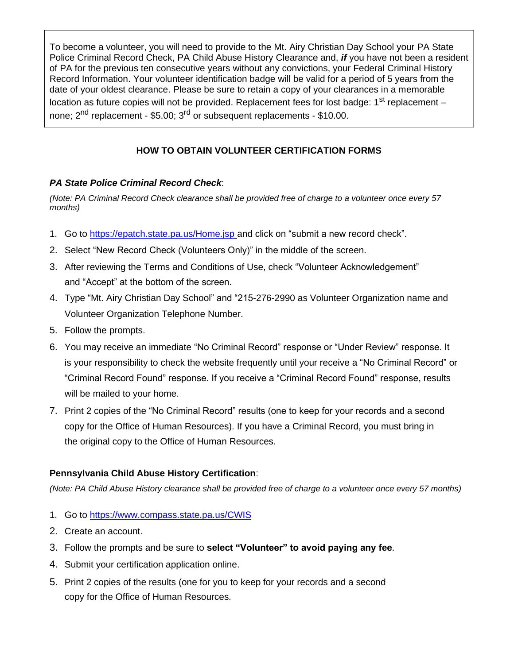To become a volunteer, you will need to provide to the Mt. Airy Christian Day School your PA State Police Criminal Record Check, PA Child Abuse History Clearance and, *if* you have not been a resident of PA for the previous ten consecutive years without any convictions, your Federal Criminal History Record Information. Your volunteer identification badge will be valid for a period of 5 years from the date of your oldest clearance. Please be sure to retain a copy of your clearances in a memorable location as future copies will not be provided. Replacement fees for lost badge: 1<sup>st</sup> replacement – none;  $2^{nd}$  replacement - \$5.00;  $3^{rd}$  or subsequent replacements - \$10.00.

## **HOW TO OBTAIN VOLUNTEER CERTIFICATION FORMS**

## *PA State Police Criminal Record Check*:

*(Note: PA Criminal Record Check clearance shall be provided free of charge to a volunteer once every 57 months)*

- 1. Go to<https://epatch.state.pa.us/Home.jsp> and click on "submit a new record check".
- 2. Select "New Record Check (Volunteers Only)" in the middle of the screen.
- 3. After reviewing the Terms and Conditions of Use, check "Volunteer Acknowledgement" and "Accept" at the bottom of the screen.
- 4. Type "Mt. Airy Christian Day School" and "215-276-2990 as Volunteer Organization name and Volunteer Organization Telephone Number.
- 5. Follow the prompts.
- 6. You may receive an immediate "No Criminal Record" response or "Under Review" response. It is your responsibility to check the website frequently until your receive a "No Criminal Record" or "Criminal Record Found" response. If you receive a "Criminal Record Found" response, results will be mailed to your home.
- 7. Print 2 copies of the "No Criminal Record" results (one to keep for your records and a second copy for the Office of Human Resources). If you have a Criminal Record, you must bring in the original copy to the Office of Human Resources.

## **Pennsylvania Child Abuse History Certification**:

*(Note: PA Child Abuse History clearance shall be provided free of charge to a volunteer once every 57 months)*

- 1. Go to<https://www.compass.state.pa.us/CWIS>
- 2. Create an account.
- 3. Follow the prompts and be sure to **select "Volunteer" to avoid paying any fee**.
- 4. Submit your certification application online.
- 5. Print 2 copies of the results (one for you to keep for your records and a second copy for the Office of Human Resources.